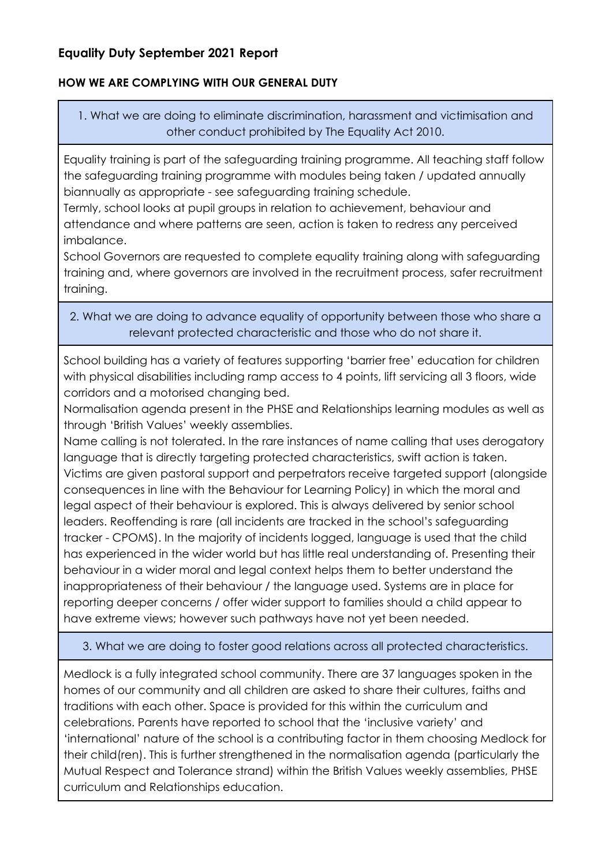# **Equality Duty September 2021 Report**

## **HOW WE ARE COMPLYING WITH OUR GENERAL DUTY**

1. What we are doing to eliminate discrimination, harassment and victimisation and other conduct prohibited by The Equality Act 2010.

Equality training is part of the safeguarding training programme. All teaching staff follow the safeguarding training programme with modules being taken / updated annually biannually as appropriate - see safeguarding training schedule.

Termly, school looks at pupil groups in relation to achievement, behaviour and attendance and where patterns are seen, action is taken to redress any perceived imbalance.

School Governors are requested to complete equality training along with safeguarding training and, where governors are involved in the recruitment process, safer recruitment training.

## 2. What we are doing to advance equality of opportunity between those who share a relevant protected characteristic and those who do not share it.

School building has a variety of features supporting 'barrier free' education for children with physical disabilities including ramp access to 4 points, lift servicing all 3 floors, wide corridors and a motorised changing bed.

Normalisation agenda present in the PHSE and Relationships learning modules as well as through 'British Values' weekly assemblies.

Name calling is not tolerated. In the rare instances of name calling that uses derogatory language that is directly targeting protected characteristics, swift action is taken. Victims are given pastoral support and perpetrators receive targeted support (alongside consequences in line with the Behaviour for Learning Policy) in which the moral and legal aspect of their behaviour is explored. This is always delivered by senior school leaders. Reoffending is rare (all incidents are tracked in the school's safeguarding tracker - CPOMS). In the majority of incidents logged, language is used that the child has experienced in the wider world but has little real understanding of. Presenting their behaviour in a wider moral and legal context helps them to better understand the inappropriateness of their behaviour / the language used. Systems are in place for reporting deeper concerns / offer wider support to families should a child appear to have extreme views; however such pathways have not yet been needed.

## 3. What we are doing to foster good relations across all protected characteristics.

Medlock is a fully integrated school community. There are 37 languages spoken in the homes of our community and all children are asked to share their cultures, faiths and traditions with each other. Space is provided for this within the curriculum and celebrations. Parents have reported to school that the 'inclusive variety' and 'international' nature of the school is a contributing factor in them choosing Medlock for their child(ren). This is further strengthened in the normalisation agenda (particularly the Mutual Respect and Tolerance strand) within the British Values weekly assemblies, PHSE curriculum and Relationships education.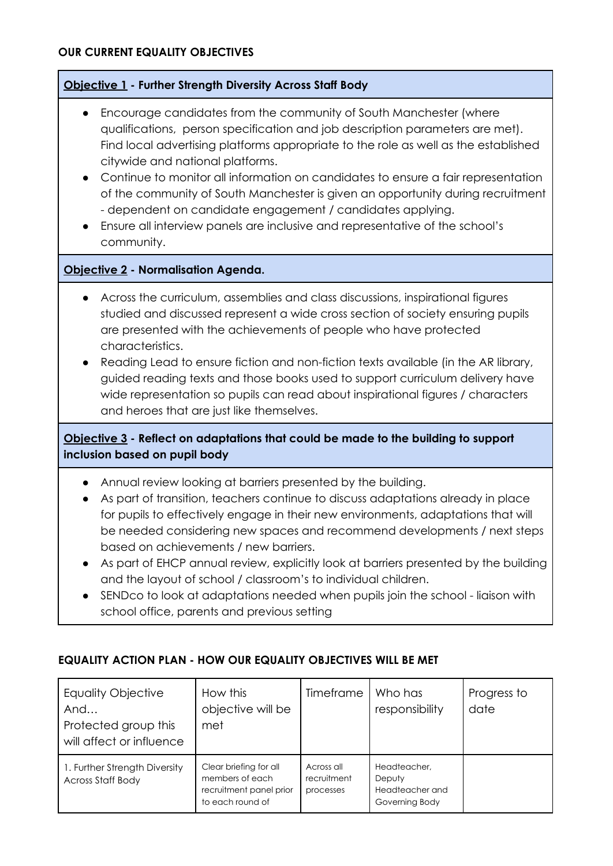## **Objective 1 - Further Strength Diversity Across Staff Body**

- Encourage candidates from the community of South Manchester (where qualifications, person specification and job description parameters are met). Find local advertising platforms appropriate to the role as well as the established citywide and national platforms.
- Continue to monitor all information on candidates to ensure a fair representation of the community of South Manchester is given an opportunity during recruitment - dependent on candidate engagement / candidates applying.
- Ensure all interview panels are inclusive and representative of the school's community.

#### **Objective 2 - Normalisation Agenda.**

- Across the curriculum, assemblies and class discussions, inspirational figures studied and discussed represent a wide cross section of society ensuring pupils are presented with the achievements of people who have protected characteristics.
- Reading Lead to ensure fiction and non-fiction texts available (in the AR library, guided reading texts and those books used to support curriculum delivery have wide representation so pupils can read about inspirational figures / characters and heroes that are just like themselves.

## **Objective 3 - Reflect on adaptations that could be made to the building to support inclusion based on pupil body**

- Annual review looking at barriers presented by the building.
- As part of transition, teachers continue to discuss adaptations already in place for pupils to effectively engage in their new environments, adaptations that will be needed considering new spaces and recommend developments / next steps based on achievements / new barriers.
- As part of EHCP annual review, explicitly look at barriers presented by the building and the layout of school / classroom's to individual children.
- SENDco to look at adaptations needed when pupils join the school liaison with school office, parents and previous setting

| <b>Equality Objective</b><br>And<br>Protected group this<br>will affect or influence | How this<br>objective will be<br>met                                                     | Timeframe                              | Who has<br>responsibility                                   | Progress to<br>date |
|--------------------------------------------------------------------------------------|------------------------------------------------------------------------------------------|----------------------------------------|-------------------------------------------------------------|---------------------|
| 1. Further Strength Diversity<br><b>Across Staff Body</b>                            | Clear briefing for all<br>members of each<br>recruitment panel prior<br>to each round of | Across all<br>recruitment<br>processes | Headteacher.<br>Deputy<br>Headteacher and<br>Governing Body |                     |

#### **EQUALITY ACTION PLAN - HOW OUR EQUALITY OBJECTIVES WILL BE MET**